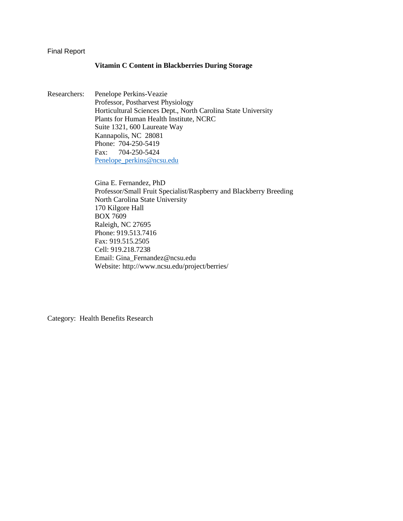#### Final Report

#### **Vitamin C Content in Blackberries During Storage**

Researchers: Penelope Perkins-Veazie Professor, Postharvest Physiology Horticultural Sciences Dept., North Carolina State University Plants for Human Health Institute, NCRC Suite 1321, 600 Laureate Way Kannapolis, NC 28081 Phone: 704-250-5419 Fax: 704-250-5424 [Penelope\\_perkins@ncsu.edu](mailto:Penelope_perkins@ncsu.edu)

> Gina E. Fernandez, PhD Professor/Small Fruit Specialist/Raspberry and Blackberry Breeding North Carolina State University 170 Kilgore Hall BOX 7609 Raleigh, NC 27695 Phone: 919.513.7416 Fax: 919.515.2505 Cell: 919.218.7238 Email: Gina\_Fernandez@ncsu.edu Website: http://www.ncsu.edu/project/berries/

Category: Health Benefits Research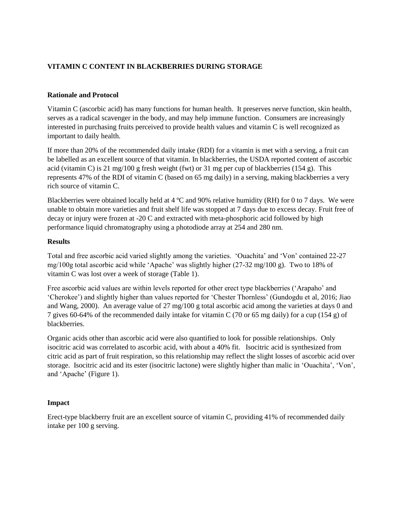# **VITAMIN C CONTENT IN BLACKBERRIES DURING STORAGE**

## **Rationale and Protocol**

Vitamin C (ascorbic acid) has many functions for human health. It preserves nerve function, skin health, serves as a radical scavenger in the body, and may help immune function. Consumers are increasingly interested in purchasing fruits perceived to provide health values and vitamin C is well recognized as important to daily health.

If more than 20% of the recommended daily intake (RDI) for a vitamin is met with a serving, a fruit can be labelled as an excellent source of that vitamin. In blackberries, the USDA reported content of ascorbic acid (vitamin C) is 21 mg/100 g fresh weight (fwt) or 31 mg per cup of blackberries (154 g). This represents 47% of the RDI of vitamin C (based on 65 mg daily) in a serving, making blackberries a very rich source of vitamin C.

Blackberries were obtained locally held at 4 ºC and 90% relative humidity (RH) for 0 to 7 days. We were unable to obtain more varieties and fruit shelf life was stopped at 7 days due to excess decay. Fruit free of decay or injury were frozen at -20 C and extracted with meta-phosphoric acid followed by high performance liquid chromatography using a photodiode array at 254 and 280 nm.

## **Results**

Total and free ascorbic acid varied slightly among the varieties. 'Ouachita' and 'Von' contained 22-27 mg/100g total ascorbic acid while 'Apache' was slightly higher (27-32 mg/100 g). Two to 18% of vitamin C was lost over a week of storage (Table 1).

Free ascorbic acid values are within levels reported for other erect type blackberries ('Arapaho' and 'Cherokee') and slightly higher than values reported for 'Chester Thornless' (Gundogdu et al, 2016; Jiao and Wang, 2000). An average value of 27 mg/100 g total ascorbic acid among the varieties at days 0 and 7 gives 60-64% of the recommended daily intake for vitamin C (70 or 65 mg daily) for a cup (154 g) of blackberries.

Organic acids other than ascorbic acid were also quantified to look for possible relationships. Only isocitric acid was correlated to ascorbic acid, with about a 40% fit. Isocitric acid is synthesized from citric acid as part of fruit respiration, so this relationship may reflect the slight losses of ascorbic acid over storage. Isocitric acid and its ester (isocitric lactone) were slightly higher than malic in 'Ouachita', 'Von', and 'Apache' (Figure 1).

## **Impact**

Erect-type blackberry fruit are an excellent source of vitamin C, providing 41% of recommended daily intake per 100 g serving.